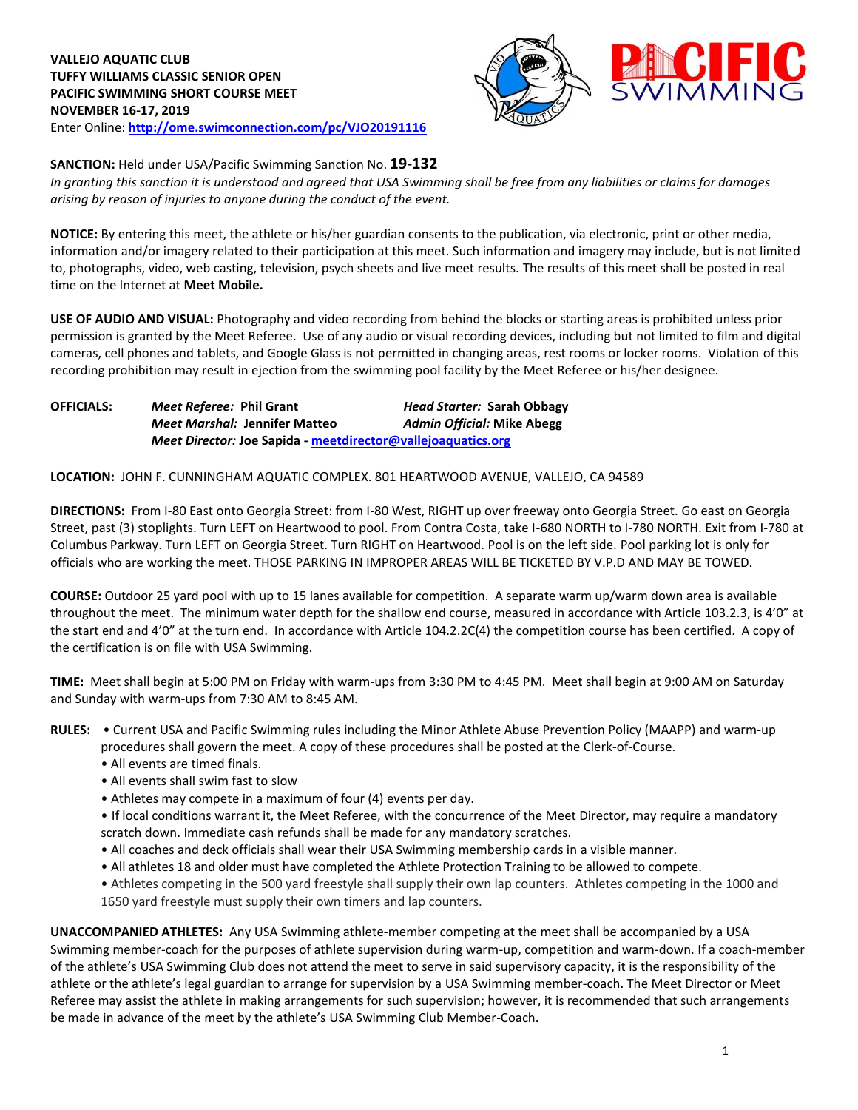

**SANCTION:** Held under USA/Pacific Swimming Sanction No. **19-132**

*In granting this sanction it is understood and agreed that USA Swimming shall be free from any liabilities or claims for damages arising by reason of injuries to anyone during the conduct of the event.*

**NOTICE:** By entering this meet, the athlete or his/her guardian consents to the publication, via electronic, print or other media, information and/or imagery related to their participation at this meet. Such information and imagery may include, but is not limited to, photographs, video, web casting, television, psych sheets and live meet results. The results of this meet shall be posted in real time on the Internet at **Meet Mobile.**

**USE OF AUDIO AND VISUAL:** Photography and video recording from behind the blocks or starting areas is prohibited unless prior permission is granted by the Meet Referee. Use of any audio or visual recording devices, including but not limited to film and digital cameras, cell phones and tablets, and Google Glass is not permitted in changing areas, rest rooms or locker rooms. Violation of this recording prohibition may result in ejection from the swimming pool facility by the Meet Referee or his/her designee.

**OFFICIALS:** *Meet Referee:* **Phil Grant** *Head Starter:* **Sarah Obbagy** *Meet Marshal:* **Jennifer Matteo** *Admin Official:* **Mike Abegg** *Meet Director:* **Joe Sapida - [meetdirector@vallejoaquatics.org](mailto:meetdirector@vallejoaquatics.org)**

**LOCATION:** JOHN F. CUNNINGHAM AQUATIC COMPLEX. 801 HEARTWOOD AVENUE, VALLEJO, CA 94589

**DIRECTIONS:** From I-80 East onto Georgia Street: from I-80 West, RIGHT up over freeway onto Georgia Street. Go east on Georgia Street, past (3) stoplights. Turn LEFT on Heartwood to pool. From Contra Costa, take I-680 NORTH to I-780 NORTH. Exit from I-780 at Columbus Parkway. Turn LEFT on Georgia Street. Turn RIGHT on Heartwood. Pool is on the left side. Pool parking lot is only for officials who are working the meet. THOSE PARKING IN IMPROPER AREAS WILL BE TICKETED BY V.P.D AND MAY BE TOWED.

**COURSE:** Outdoor 25 yard pool with up to 15 lanes available for competition. A separate warm up/warm down area is available throughout the meet. The minimum water depth for the shallow end course, measured in accordance with Article 103.2.3, is 4'0" at the start end and 4'0" at the turn end. In accordance with Article 104.2.2C(4) the competition course has been certified. A copy of the certification is on file with USA Swimming.

**TIME:** Meet shall begin at 5:00 PM on Friday with warm-ups from 3:30 PM to 4:45 PM. Meet shall begin at 9:00 AM on Saturday and Sunday with warm-ups from 7:30 AM to 8:45 AM.

**RULES:** • Current USA and Pacific Swimming rules including the Minor Athlete Abuse Prevention Policy (MAAPP) and warm-up procedures shall govern the meet. A copy of these procedures shall be posted at the Clerk-of-Course.

- All events are timed finals.
- All events shall swim fast to slow
- Athletes may compete in a maximum of four (4) events per day.
- If local conditions warrant it, the Meet Referee, with the concurrence of the Meet Director, may require a mandatory scratch down. Immediate cash refunds shall be made for any mandatory scratches.
- All coaches and deck officials shall wear their USA Swimming membership cards in a visible manner.
- All athletes 18 and older must have completed the Athlete Protection Training to be allowed to compete.
- Athletes competing in the 500 yard freestyle shall supply their own lap counters. Athletes competing in the 1000 and 1650 yard freestyle must supply their own timers and lap counters.

**UNACCOMPANIED ATHLETES:** Any USA Swimming athlete-member competing at the meet shall be accompanied by a USA Swimming member-coach for the purposes of athlete supervision during warm-up, competition and warm-down. If a coach-member of the athlete's USA Swimming Club does not attend the meet to serve in said supervisory capacity, it is the responsibility of the athlete or the athlete's legal guardian to arrange for supervision by a USA Swimming member-coach. The Meet Director or Meet Referee may assist the athlete in making arrangements for such supervision; however, it is recommended that such arrangements be made in advance of the meet by the athlete's USA Swimming Club Member-Coach.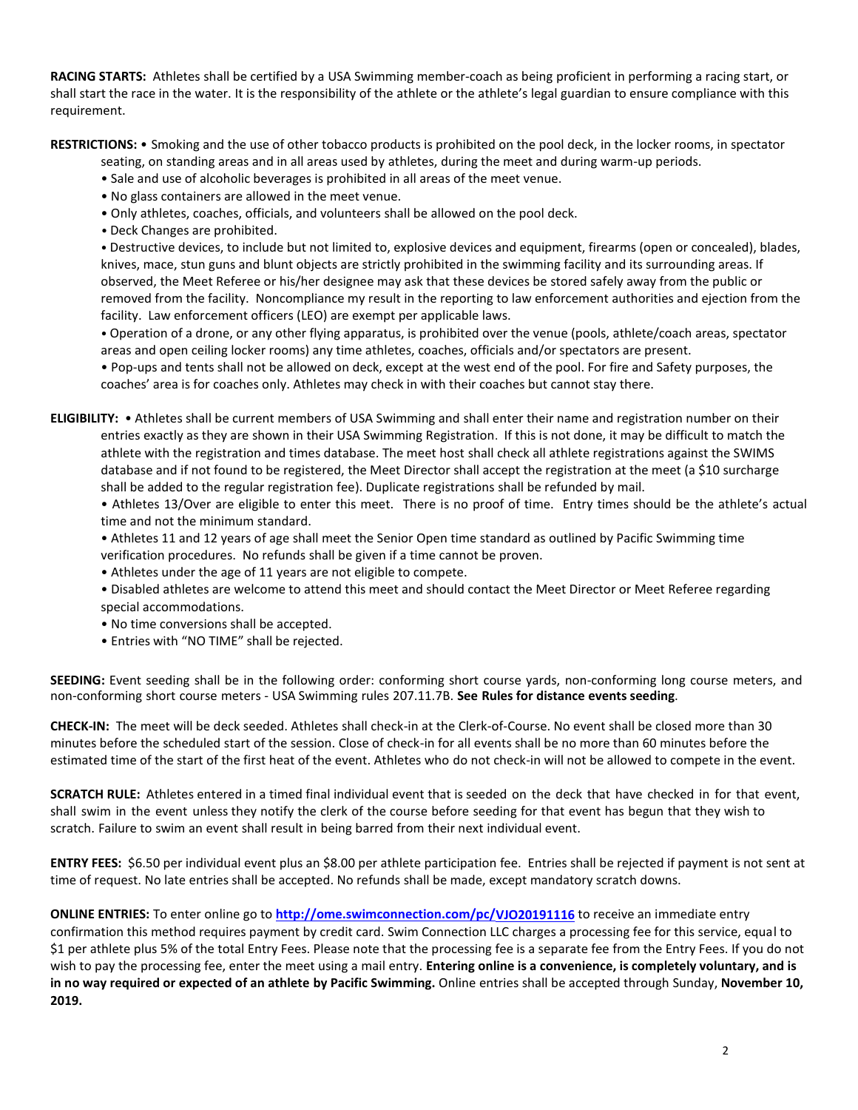**RACING STARTS:** Athletes shall be certified by a USA Swimming member-coach as being proficient in performing a racing start, or shall start the race in the water. It is the responsibility of the athlete or the athlete's legal guardian to ensure compliance with this requirement.

**RESTRICTIONS:** • Smoking and the use of other tobacco products is prohibited on the pool deck, in the locker rooms, in spectator

seating, on standing areas and in all areas used by athletes, during the meet and during warm-up periods.

• Sale and use of alcoholic beverages is prohibited in all areas of the meet venue.

- No glass containers are allowed in the meet venue.
- Only athletes, coaches, officials, and volunteers shall be allowed on the pool deck.
- Deck Changes are prohibited.

• Destructive devices, to include but not limited to, explosive devices and equipment, firearms (open or concealed), blades, knives, mace, stun guns and blunt objects are strictly prohibited in the swimming facility and its surrounding areas. If observed, the Meet Referee or his/her designee may ask that these devices be stored safely away from the public or removed from the facility. Noncompliance my result in the reporting to law enforcement authorities and ejection from the facility. Law enforcement officers (LEO) are exempt per applicable laws.

• Operation of a drone, or any other flying apparatus, is prohibited over the venue (pools, athlete/coach areas, spectator areas and open ceiling locker rooms) any time athletes, coaches, officials and/or spectators are present.

• Pop-ups and tents shall not be allowed on deck, except at the west end of the pool. For fire and Safety purposes, the coaches' area is for coaches only. Athletes may check in with their coaches but cannot stay there.

**ELIGIBILITY:** • Athletes shall be current members of USA Swimming and shall enter their name and registration number on their entries exactly as they are shown in their USA Swimming Registration. If this is not done, it may be difficult to match the athlete with the registration and times database. The meet host shall check all athlete registrations against the SWIMS database and if not found to be registered, the Meet Director shall accept the registration at the meet (a \$10 surcharge shall be added to the regular registration fee). Duplicate registrations shall be refunded by mail.

• Athletes 13/Over are eligible to enter this meet. There is no proof of time. Entry times should be the athlete's actual time and not the minimum standard.

- Athletes 11 and 12 years of age shall meet the Senior Open time standard as outlined by Pacific Swimming time
- verification procedures. No refunds shall be given if a time cannot be proven.
- Athletes under the age of 11 years are not eligible to compete.
- Disabled athletes are welcome to attend this meet and should contact the Meet Director or Meet Referee regarding special accommodations.
- No time conversions shall be accepted.
- Entries with "NO TIME" shall be rejected.

**SEEDING:** Event seeding shall be in the following order: conforming short course yards, non-conforming long course meters, and non-conforming short course meters - USA Swimming rules 207.11.7B. **See Rules for distance events seeding**.

**CHECK-IN:** The meet will be deck seeded. Athletes shall check-in at the Clerk-of-Course. No event shall be closed more than 30 minutes before the scheduled start of the session. Close of check‐in for all events shall be no more than 60 minutes before the estimated time of the start of the first heat of the event. Athletes who do not check-in will not be allowed to compete in the event.

**SCRATCH RULE:** Athletes entered in a timed final individual event that is seeded on the deck that have checked in for that event, shall swim in the event unless they notify the clerk of the course before seeding for that event has begun that they wish to scratch. Failure to swim an event shall result in being barred from their next individual event.

**ENTRY FEES:** \$6.50 per individual event plus an \$8.00 per athlete participation fee. Entries shall be rejected if payment is not sent at time of request. No late entries shall be accepted. No refunds shall be made, except mandatory scratch downs.

**ONLINE ENTRIES:** To enter online go to **<http://ome.swimconnection.com/pc/VJO20191116>** to receive an immediate entry confirmation this method requires payment by credit card. Swim Connection LLC charges a processing fee for this service, equal to \$1 per athlete plus 5% of the total Entry Fees. Please note that the processing fee is a separate fee from the Entry Fees. If you do not wish to pay the processing fee, enter the meet using a mail entry. **Entering online is a convenience, is completely voluntary, and is in no way required or expected of an athlete by Pacific Swimming.** Online entries shall be accepted through Sunday, **November 10, 2019.**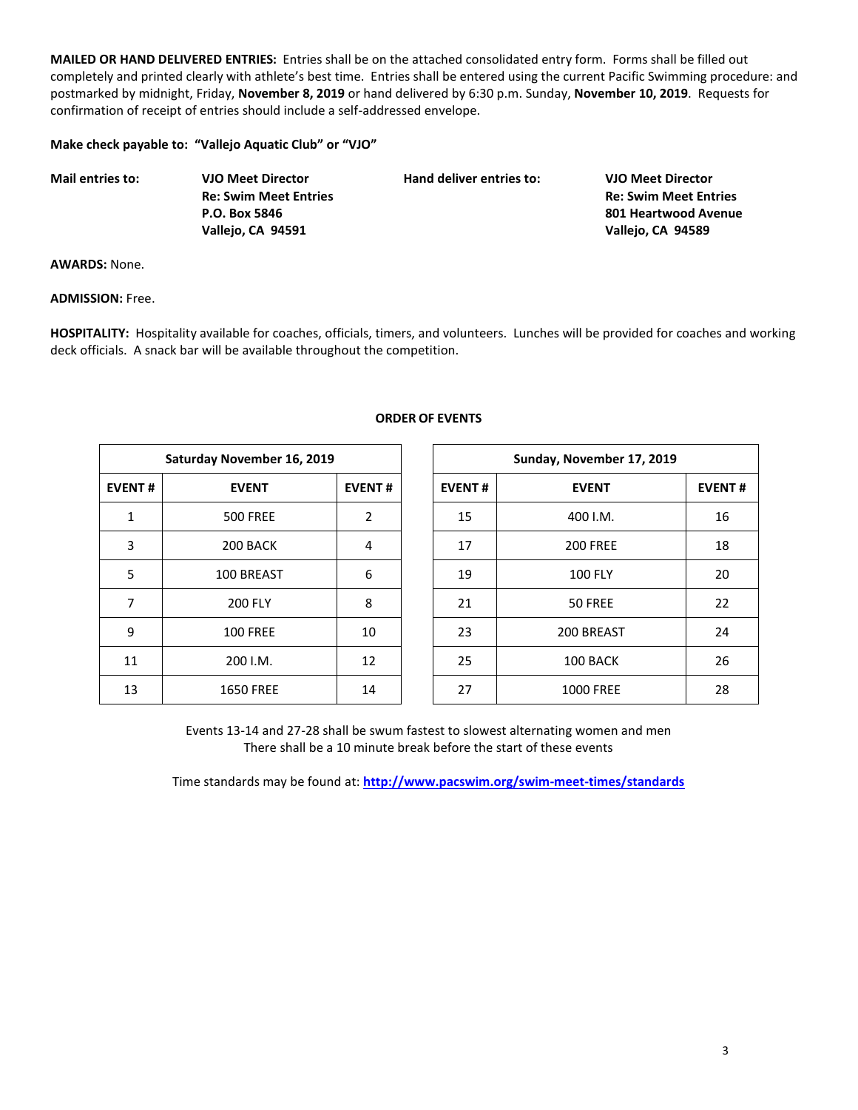**MAILED OR HAND DELIVERED ENTRIES:** Entries shall be on the attached consolidated entry form. Forms shall be filled out completely and printed clearly with athlete's best time. Entries shall be entered using the current Pacific Swimming procedure: and postmarked by midnight, Friday, **November 8, 2019** or hand delivered by 6:30 p.m. Sunday, **November 10, 2019**. Requests for confirmation of receipt of entries should include a self-addressed envelope.

**Make check payable to: "Vallejo Aquatic Club" or "VJO"**

| <b>Mail entries to:</b> | <b>VJO Meet Director</b>     | Hand deliver entries to: | <b>VJO Meet Director</b>     |
|-------------------------|------------------------------|--------------------------|------------------------------|
|                         | <b>Re: Swim Meet Entries</b> |                          | <b>Re: Swim Meet Entries</b> |
|                         | P.O. Box 5846                |                          | 801 Heartwood Avenue         |
|                         | Vallejo, CA 94591            |                          | Vallejo, CA 94589            |

**AWARDS:** None.

**ADMISSION:** Free.

**HOSPITALITY:** Hospitality available for coaches, officials, timers, and volunteers. Lunches will be provided for coaches and working deck officials. A snack bar will be available throughout the competition.

| Saturday November 16, 2019 |                  |    |  |  |  |  |  |  |
|----------------------------|------------------|----|--|--|--|--|--|--|
| <b>EVENT#</b>              | <b>EVENT</b>     |    |  |  |  |  |  |  |
| 1                          | <b>500 FREE</b>  | 2  |  |  |  |  |  |  |
| 3                          | 200 BACK         | 4  |  |  |  |  |  |  |
| 5                          | 100 BREAST       | 6  |  |  |  |  |  |  |
| 7                          | <b>200 FLY</b>   | 8  |  |  |  |  |  |  |
| 9                          | <b>100 FREE</b>  | 10 |  |  |  |  |  |  |
| 11                         | 200 I.M.         | 12 |  |  |  |  |  |  |
| 13                         | <b>1650 FREE</b> | 14 |  |  |  |  |  |  |

## **ORDER OF EVENTS**

| Saturday November 16, 2019 |                  |               |               | Sunday, November 17, 2019 |               |
|----------------------------|------------------|---------------|---------------|---------------------------|---------------|
| <b>EVENT#</b>              | <b>EVENT</b>     | <b>EVENT#</b> | <b>EVENT#</b> | <b>EVENT</b>              | <b>EVENT#</b> |
| 1                          | <b>500 FREE</b>  | 2             | 15            | 400 I.M.                  | 16            |
| 3                          | 200 BACK         | 4             | 17            | <b>200 FREE</b>           | 18            |
| 5                          | 100 BREAST       | 6             | 19            | <b>100 FLY</b>            | 20            |
| 7                          | <b>200 FLY</b>   | 8             | 21            | 50 FREE                   | 22            |
| 9                          | <b>100 FREE</b>  | 10            | 23            | 200 BREAST                | 24            |
| 11                         | 200 I.M.         | 12            | 25            | 100 BACK                  | 26            |
| 13                         | <b>1650 FREE</b> | 14            | 27            | <b>1000 FREE</b>          | 28            |

Events 13-14 and 27-28 shall be swum fastest to slowest alternating women and men There shall be a 10 minute break before the start of these events

Time standards may be found at: **<http://www.pacswim.org/swim-meet-times/standards>**